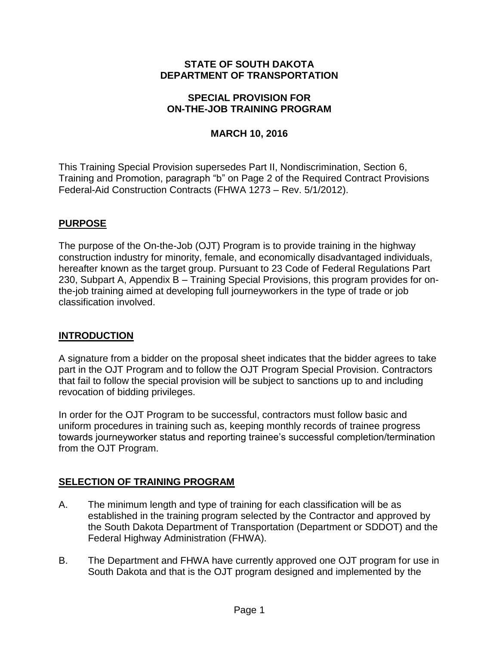#### **STATE OF SOUTH DAKOTA DEPARTMENT OF TRANSPORTATION**

#### **SPECIAL PROVISION FOR ON-THE-JOB TRAINING PROGRAM**

## **MARCH 10, 2016**

This Training Special Provision supersedes Part II, Nondiscrimination, Section 6, Training and Promotion, paragraph "b" on Page 2 of the Required Contract Provisions Federal-Aid Construction Contracts (FHWA 1273 – Rev. 5/1/2012).

## **PURPOSE**

The purpose of the On-the-Job (OJT) Program is to provide training in the highway construction industry for minority, female, and economically disadvantaged individuals, hereafter known as the target group. Pursuant to 23 Code of Federal Regulations Part 230, Subpart A, Appendix B – Training Special Provisions, this program provides for onthe-job training aimed at developing full journeyworkers in the type of trade or job classification involved.

#### **INTRODUCTION**

A signature from a bidder on the proposal sheet indicates that the bidder agrees to take part in the OJT Program and to follow the OJT Program Special Provision. Contractors that fail to follow the special provision will be subject to sanctions up to and including revocation of bidding privileges.

In order for the OJT Program to be successful, contractors must follow basic and uniform procedures in training such as, keeping monthly records of trainee progress towards journeyworker status and reporting trainee's successful completion/termination from the OJT Program.

## **SELECTION OF TRAINING PROGRAM**

- A. The minimum length and type of training for each classification will be as established in the training program selected by the Contractor and approved by the South Dakota Department of Transportation (Department or SDDOT) and the Federal Highway Administration (FHWA).
- B. The Department and FHWA have currently approved one OJT program for use in South Dakota and that is the OJT program designed and implemented by the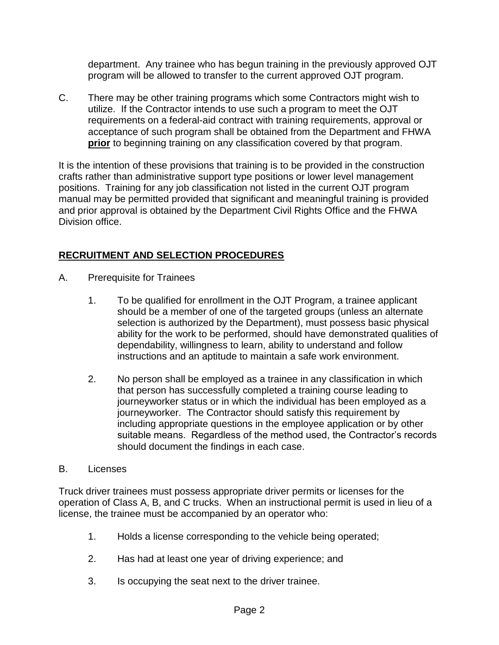department. Any trainee who has begun training in the previously approved OJT program will be allowed to transfer to the current approved OJT program.

C. There may be other training programs which some Contractors might wish to utilize. If the Contractor intends to use such a program to meet the OJT requirements on a federal-aid contract with training requirements, approval or acceptance of such program shall be obtained from the Department and FHWA **prior** to beginning training on any classification covered by that program.

It is the intention of these provisions that training is to be provided in the construction crafts rather than administrative support type positions or lower level management positions. Training for any job classification not listed in the current OJT program manual may be permitted provided that significant and meaningful training is provided and prior approval is obtained by the Department Civil Rights Office and the FHWA Division office.

# **RECRUITMENT AND SELECTION PROCEDURES**

- A. Prerequisite for Trainees
	- 1. To be qualified for enrollment in the OJT Program, a trainee applicant should be a member of one of the targeted groups (unless an alternate selection is authorized by the Department), must possess basic physical ability for the work to be performed, should have demonstrated qualities of dependability, willingness to learn, ability to understand and follow instructions and an aptitude to maintain a safe work environment.
	- 2. No person shall be employed as a trainee in any classification in which that person has successfully completed a training course leading to journeyworker status or in which the individual has been employed as a journeyworker. The Contractor should satisfy this requirement by including appropriate questions in the employee application or by other suitable means. Regardless of the method used, the Contractor's records should document the findings in each case.

#### B. Licenses

Truck driver trainees must possess appropriate driver permits or licenses for the operation of Class A, B, and C trucks. When an instructional permit is used in lieu of a license, the trainee must be accompanied by an operator who:

- 1. Holds a license corresponding to the vehicle being operated;
- 2. Has had at least one year of driving experience; and
- 3. Is occupying the seat next to the driver trainee.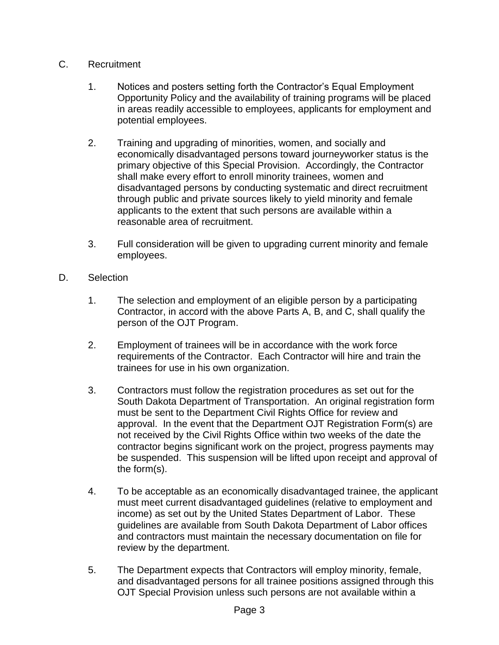- C. Recruitment
	- 1. Notices and posters setting forth the Contractor's Equal Employment Opportunity Policy and the availability of training programs will be placed in areas readily accessible to employees, applicants for employment and potential employees.
	- 2. Training and upgrading of minorities, women, and socially and economically disadvantaged persons toward journeyworker status is the primary objective of this Special Provision. Accordingly, the Contractor shall make every effort to enroll minority trainees, women and disadvantaged persons by conducting systematic and direct recruitment through public and private sources likely to yield minority and female applicants to the extent that such persons are available within a reasonable area of recruitment.
	- 3. Full consideration will be given to upgrading current minority and female employees.
- D. Selection
	- 1. The selection and employment of an eligible person by a participating Contractor, in accord with the above Parts A, B, and C, shall qualify the person of the OJT Program.
	- 2. Employment of trainees will be in accordance with the work force requirements of the Contractor. Each Contractor will hire and train the trainees for use in his own organization.
	- 3. Contractors must follow the registration procedures as set out for the South Dakota Department of Transportation. An original registration form must be sent to the Department Civil Rights Office for review and approval. In the event that the Department OJT Registration Form(s) are not received by the Civil Rights Office within two weeks of the date the contractor begins significant work on the project, progress payments may be suspended. This suspension will be lifted upon receipt and approval of the form(s).
	- 4. To be acceptable as an economically disadvantaged trainee, the applicant must meet current disadvantaged guidelines (relative to employment and income) as set out by the United States Department of Labor. These guidelines are available from South Dakota Department of Labor offices and contractors must maintain the necessary documentation on file for review by the department.
	- 5. The Department expects that Contractors will employ minority, female, and disadvantaged persons for all trainee positions assigned through this OJT Special Provision unless such persons are not available within a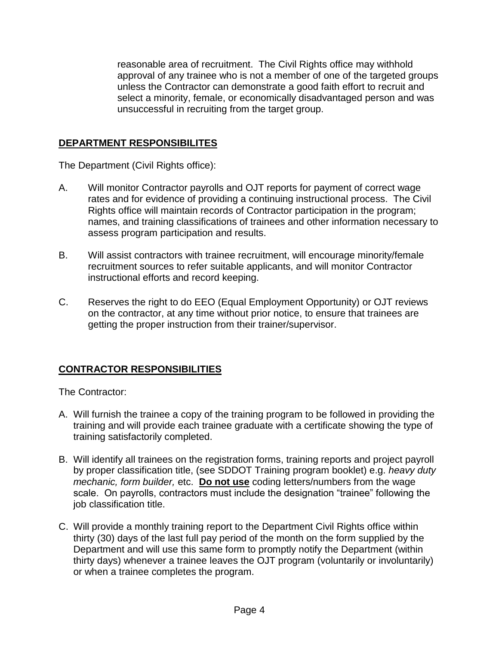reasonable area of recruitment. The Civil Rights office may withhold approval of any trainee who is not a member of one of the targeted groups unless the Contractor can demonstrate a good faith effort to recruit and select a minority, female, or economically disadvantaged person and was unsuccessful in recruiting from the target group.

# **DEPARTMENT RESPONSIBILITES**

The Department (Civil Rights office):

- A. Will monitor Contractor payrolls and OJT reports for payment of correct wage rates and for evidence of providing a continuing instructional process. The Civil Rights office will maintain records of Contractor participation in the program; names, and training classifications of trainees and other information necessary to assess program participation and results.
- B. Will assist contractors with trainee recruitment, will encourage minority/female recruitment sources to refer suitable applicants, and will monitor Contractor instructional efforts and record keeping.
- C. Reserves the right to do EEO (Equal Employment Opportunity) or OJT reviews on the contractor, at any time without prior notice, to ensure that trainees are getting the proper instruction from their trainer/supervisor.

# **CONTRACTOR RESPONSIBILITIES**

The Contractor:

- A. Will furnish the trainee a copy of the training program to be followed in providing the training and will provide each trainee graduate with a certificate showing the type of training satisfactorily completed.
- B. Will identify all trainees on the registration forms, training reports and project payroll by proper classification title, (see SDDOT Training program booklet) e.g. *heavy duty mechanic, form builder, etc.* **Do not use** coding letters/numbers from the wage scale. On payrolls, contractors must include the designation "trainee" following the job classification title.
- C. Will provide a monthly training report to the Department Civil Rights office within thirty (30) days of the last full pay period of the month on the form supplied by the Department and will use this same form to promptly notify the Department (within thirty days) whenever a trainee leaves the OJT program (voluntarily or involuntarily) or when a trainee completes the program.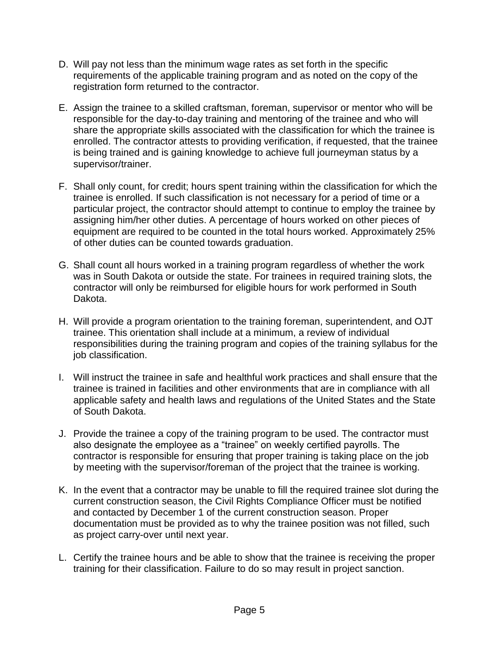- D. Will pay not less than the minimum wage rates as set forth in the specific requirements of the applicable training program and as noted on the copy of the registration form returned to the contractor.
- E. Assign the trainee to a skilled craftsman, foreman, supervisor or mentor who will be responsible for the day-to-day training and mentoring of the trainee and who will share the appropriate skills associated with the classification for which the trainee is enrolled. The contractor attests to providing verification, if requested, that the trainee is being trained and is gaining knowledge to achieve full journeyman status by a supervisor/trainer.
- F. Shall only count, for credit; hours spent training within the classification for which the trainee is enrolled. If such classification is not necessary for a period of time or a particular project, the contractor should attempt to continue to employ the trainee by assigning him/her other duties. A percentage of hours worked on other pieces of equipment are required to be counted in the total hours worked. Approximately 25% of other duties can be counted towards graduation.
- G. Shall count all hours worked in a training program regardless of whether the work was in South Dakota or outside the state. For trainees in required training slots, the contractor will only be reimbursed for eligible hours for work performed in South Dakota.
- H. Will provide a program orientation to the training foreman, superintendent, and OJT trainee. This orientation shall include at a minimum, a review of individual responsibilities during the training program and copies of the training syllabus for the job classification.
- I. Will instruct the trainee in safe and healthful work practices and shall ensure that the trainee is trained in facilities and other environments that are in compliance with all applicable safety and health laws and regulations of the United States and the State of South Dakota.
- J. Provide the trainee a copy of the training program to be used. The contractor must also designate the employee as a "trainee" on weekly certified payrolls. The contractor is responsible for ensuring that proper training is taking place on the job by meeting with the supervisor/foreman of the project that the trainee is working.
- K. In the event that a contractor may be unable to fill the required trainee slot during the current construction season, the Civil Rights Compliance Officer must be notified and contacted by December 1 of the current construction season. Proper documentation must be provided as to why the trainee position was not filled, such as project carry-over until next year.
- L. Certify the trainee hours and be able to show that the trainee is receiving the proper training for their classification. Failure to do so may result in project sanction.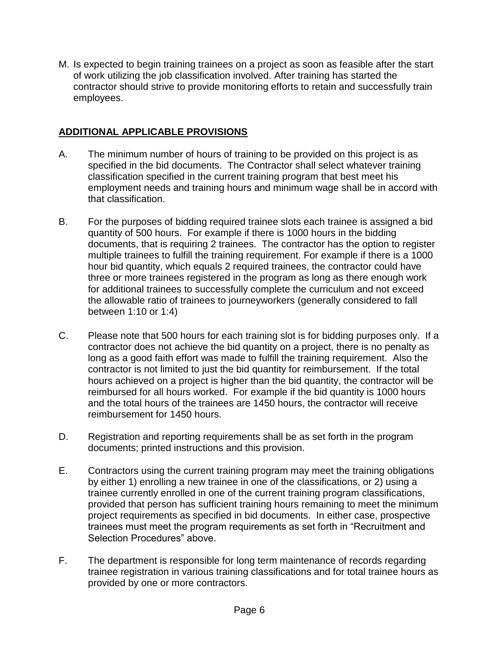M. Is expected to begin training trainees on a project as soon as feasible after the start of work utilizing the job classification involved. After training has started the contractor should strive to provide monitoring efforts to retain and successfully train employees.

# **ADDITIONAL APPLICABLE PROVISIONS**

- A. The minimum number of hours of training to be provided on this project is as specified in the bid documents. The Contractor shall select whatever training classification specified in the current training program that best meet his employment needs and training hours and minimum wage shall be in accord with that classification.
- B. For the purposes of bidding required trainee slots each trainee is assigned a bid quantity of 500 hours. For example if there is 1000 hours in the bidding documents, that is requiring 2 trainees. The contractor has the option to register multiple trainees to fulfill the training requirement. For example if there is a 1000 hour bid quantity, which equals 2 required trainees, the contractor could have three or more trainees registered in the program as long as there enough work for additional trainees to successfully complete the curriculum and not exceed the allowable ratio of trainees to journeyworkers (generally considered to fall between 1:10 or 1:4)
- C. Please note that 500 hours for each training slot is for bidding purposes only. If a contractor does not achieve the bid quantity on a project, there is no penalty as long as a good faith effort was made to fulfill the training requirement. Also the contractor is not limited to just the bid quantity for reimbursement. If the total hours achieved on a project is higher than the bid quantity, the contractor will be reimbursed for all hours worked. For example if the bid quantity is 1000 hours and the total hours of the trainees are 1450 hours, the contractor will receive reimbursement for 1450 hours.
- D. Registration and reporting requirements shall be as set forth in the program documents; printed instructions and this provision.
- E. Contractors using the current training program may meet the training obligations by either 1) enrolling a new trainee in one of the classifications, or 2) using a trainee currently enrolled in one of the current training program classifications, provided that person has sufficient training hours remaining to meet the minimum project requirements as specified in bid documents. In either case, prospective trainees must meet the program requirements as set forth in "Recruitment and Selection Procedures" above.
- F. The department is responsible for long term maintenance of records regarding trainee registration in various training classifications and for total trainee hours as provided by one or more contractors.